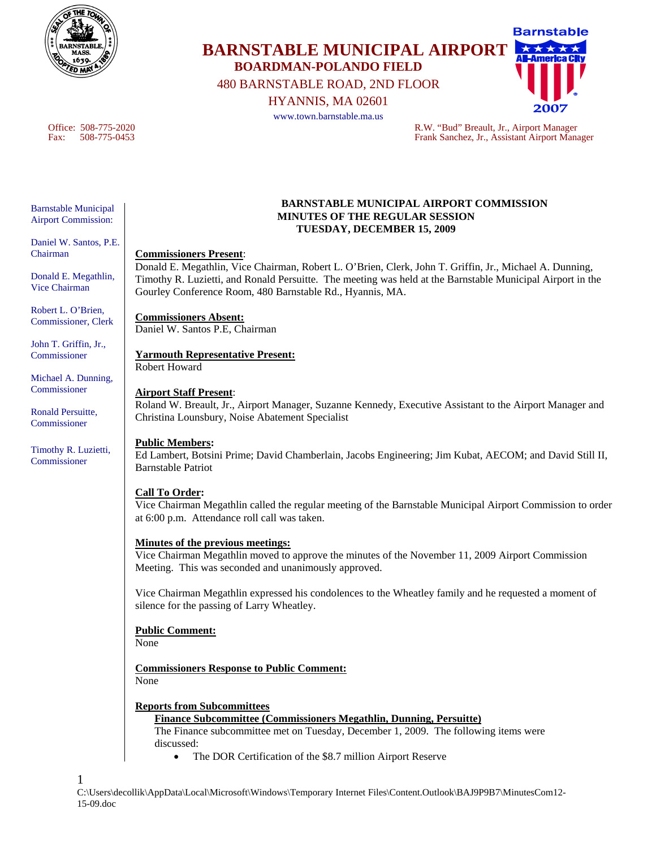

**BARNSTABLE MUNICIPAL AIRPORT BOARDMAN-POLANDO FIELD**  480 BARNSTABLE ROAD, 2ND FLOOR

HYANNIS, MA 02601

www.town.barnstable.ma.us



Office: 508-775-2020<br>
Fank Sanchez, Jr., Airport Manager<br>
Frank Sanchez, Jr., Assistant Airport Manager Frank Sanchez, Jr., Assistant Airport Manager

Barnstable Municipal

Airport Commission:

Daniel W. Santos, P.E. Chairman

Donald E. Megathlin, Vice Chairman

Robert L. O'Brien, Commissioner, Clerk

John T. Griffin, Jr., Commissioner

Michael A. Dunning, Commissioner

Ronald Persuitte, Commissioner

Timothy R. Luzietti, Commissioner

1

#### **BARNSTABLE MUNICIPAL AIRPORT COMMISSION MINUTES OF THE REGULAR SESSION TUESDAY, DECEMBER 15, 2009**

**Commissioners Present**:

Donald E. Megathlin, Vice Chairman, Robert L. O'Brien, Clerk, John T. Griffin, Jr., Michael A. Dunning, Timothy R. Luzietti, and Ronald Persuitte. The meeting was held at the Barnstable Municipal Airport in the Gourley Conference Room, 480 Barnstable Rd., Hyannis, MA.

**Commissioners Absent:** Daniel W. Santos P.E, Chairman

# **Yarmouth Representative Present:**

Robert Howard

### **Airport Staff Present**:

Roland W. Breault, Jr., Airport Manager, Suzanne Kennedy, Executive Assistant to the Airport Manager and Christina Lounsbury, Noise Abatement Specialist

# **Public Members:**

Ed Lambert, Botsini Prime; David Chamberlain, Jacobs Engineering; Jim Kubat, AECOM; and David Still II, Barnstable Patriot

#### **Call To Order:**

Vice Chairman Megathlin called the regular meeting of the Barnstable Municipal Airport Commission to order at 6:00 p.m. Attendance roll call was taken.

## **Minutes of the previous meetings:**

Vice Chairman Megathlin moved to approve the minutes of the November 11, 2009 Airport Commission Meeting. This was seconded and unanimously approved.

Vice Chairman Megathlin expressed his condolences to the Wheatley family and he requested a moment of silence for the passing of Larry Wheatley.

# **Public Comment:**

None

**Commissioners Response to Public Comment:** None

# **Reports from Subcommittees**

# **Finance Subcommittee (Commissioners Megathlin, Dunning, Persuitte)**

The Finance subcommittee met on Tuesday, December 1, 2009. The following items were discussed:

• The DOR Certification of the \$8.7 million Airport Reserve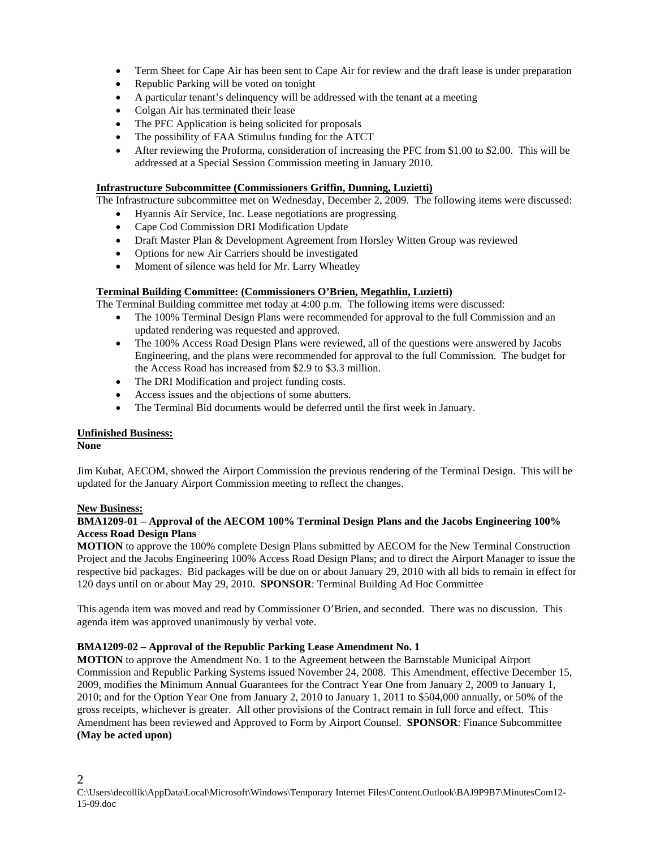- Term Sheet for Cape Air has been sent to Cape Air for review and the draft lease is under preparation
- Republic Parking will be voted on tonight
- A particular tenant's delinquency will be addressed with the tenant at a meeting
- Colgan Air has terminated their lease
- The PFC Application is being solicited for proposals
- The possibility of FAA Stimulus funding for the ATCT
- After reviewing the Proforma, consideration of increasing the PFC from \$1.00 to \$2.00. This will be addressed at a Special Session Commission meeting in January 2010.

#### **Infrastructure Subcommittee (Commissioners Griffin, Dunning, Luzietti)**

The Infrastructure subcommittee met on Wednesday, December 2, 2009. The following items were discussed:

- Hyannis Air Service, Inc. Lease negotiations are progressing
- Cape Cod Commission DRI Modification Update
- Draft Master Plan & Development Agreement from Horsley Witten Group was reviewed
- Options for new Air Carriers should be investigated
- Moment of silence was held for Mr. Larry Wheatley

#### **Terminal Building Committee: (Commissioners O'Brien, Megathlin, Luzietti)**

The Terminal Building committee met today at 4:00 p.m. The following items were discussed:

- The 100% Terminal Design Plans were recommended for approval to the full Commission and an updated rendering was requested and approved.
- The 100% Access Road Design Plans were reviewed, all of the questions were answered by Jacobs Engineering, and the plans were recommended for approval to the full Commission. The budget for the Access Road has increased from \$2.9 to \$3.3 million.
- The DRI Modification and project funding costs.
- Access issues and the objections of some abutters.
- The Terminal Bid documents would be deferred until the first week in January.

#### **Unfinished Business:**

**None** 

Jim Kubat, AECOM, showed the Airport Commission the previous rendering of the Terminal Design. This will be updated for the January Airport Commission meeting to reflect the changes.

#### **New Business:**

#### **BMA1209-01 – Approval of the AECOM 100% Terminal Design Plans and the Jacobs Engineering 100% Access Road Design Plans**

**MOTION** to approve the 100% complete Design Plans submitted by AECOM for the New Terminal Construction Project and the Jacobs Engineering 100% Access Road Design Plans; and to direct the Airport Manager to issue the respective bid packages. Bid packages will be due on or about January 29, 2010 with all bids to remain in effect for 120 days until on or about May 29, 2010. **SPONSOR**: Terminal Building Ad Hoc Committee

This agenda item was moved and read by Commissioner O'Brien, and seconded. There was no discussion. This agenda item was approved unanimously by verbal vote.

#### **BMA1209-02 – Approval of the Republic Parking Lease Amendment No. 1**

**MOTION** to approve the Amendment No. 1 to the Agreement between the Barnstable Municipal Airport Commission and Republic Parking Systems issued November 24, 2008. This Amendment, effective December 15, 2009, modifies the Minimum Annual Guarantees for the Contract Year One from January 2, 2009 to January 1, 2010; and for the Option Year One from January 2, 2010 to January 1, 2011 to \$504,000 annually, or 50% of the gross receipts, whichever is greater. All other provisions of the Contract remain in full force and effect. This Amendment has been reviewed and Approved to Form by Airport Counsel. **SPONSOR**: Finance Subcommittee **(May be acted upon)**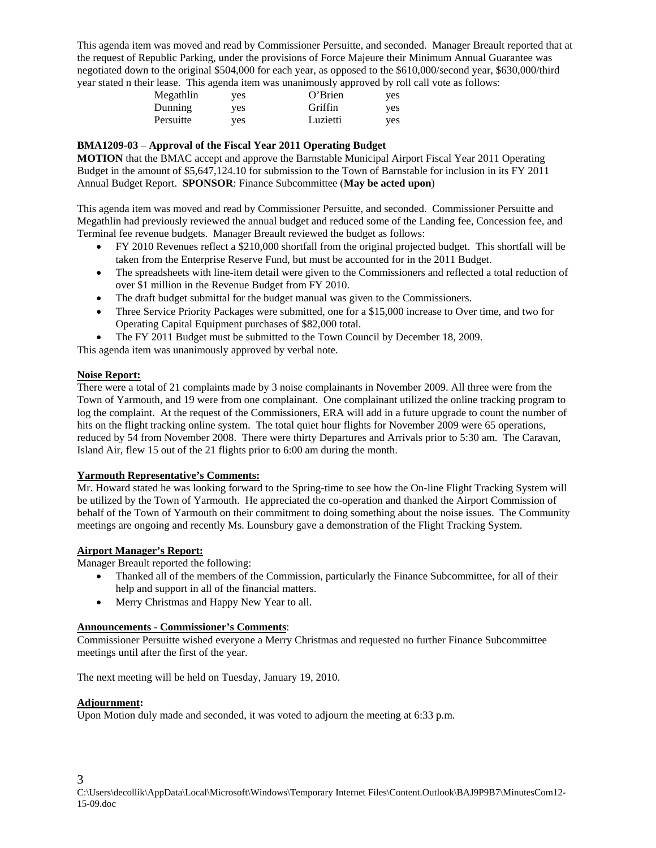This agenda item was moved and read by Commissioner Persuitte, and seconded. Manager Breault reported that at the request of Republic Parking, under the provisions of Force Majeure their Minimum Annual Guarantee was negotiated down to the original \$504,000 for each year, as opposed to the \$610,000/second year, \$630,000/third year stated n their lease. This agenda item was unanimously approved by roll call vote as follows:

|           |     | .        |            |
|-----------|-----|----------|------------|
| Megathlin | yes | O'Brien  | <b>ves</b> |
| Dunning   | ves | Griffin  | yes        |
| Persuitte | ves | Luzietti | yes        |

#### **BMA1209-03** – **Approval of the Fiscal Year 2011 Operating Budget**

**MOTION** that the BMAC accept and approve the Barnstable Municipal Airport Fiscal Year 2011 Operating Budget in the amount of \$5,647,124.10 for submission to the Town of Barnstable for inclusion in its FY 2011 Annual Budget Report. **SPONSOR**: Finance Subcommittee (**May be acted upon**)

This agenda item was moved and read by Commissioner Persuitte, and seconded. Commissioner Persuitte and Megathlin had previously reviewed the annual budget and reduced some of the Landing fee, Concession fee, and Terminal fee revenue budgets. Manager Breault reviewed the budget as follows:

- FY 2010 Revenues reflect a \$210,000 shortfall from the original projected budget. This shortfall will be taken from the Enterprise Reserve Fund, but must be accounted for in the 2011 Budget.
- The spreadsheets with line-item detail were given to the Commissioners and reflected a total reduction of over \$1 million in the Revenue Budget from FY 2010.
- The draft budget submittal for the budget manual was given to the Commissioners.
- Three Service Priority Packages were submitted, one for a \$15,000 increase to Over time, and two for Operating Capital Equipment purchases of \$82,000 total.
- The FY 2011 Budget must be submitted to the Town Council by December 18, 2009.

This agenda item was unanimously approved by verbal note.

#### **Noise Report:**

There were a total of 21 complaints made by 3 noise complainants in November 2009. All three were from the Town of Yarmouth, and 19 were from one complainant. One complainant utilized the online tracking program to log the complaint. At the request of the Commissioners, ERA will add in a future upgrade to count the number of hits on the flight tracking online system. The total quiet hour flights for November 2009 were 65 operations, reduced by 54 from November 2008. There were thirty Departures and Arrivals prior to 5:30 am. The Caravan, Island Air, flew 15 out of the 21 flights prior to 6:00 am during the month.

#### **Yarmouth Representative's Comments:**

Mr. Howard stated he was looking forward to the Spring-time to see how the On-line Flight Tracking System will be utilized by the Town of Yarmouth. He appreciated the co-operation and thanked the Airport Commission of behalf of the Town of Yarmouth on their commitment to doing something about the noise issues. The Community meetings are ongoing and recently Ms. Lounsbury gave a demonstration of the Flight Tracking System.

#### **Airport Manager's Report:**

Manager Breault reported the following:

- Thanked all of the members of the Commission, particularly the Finance Subcommittee, for all of their help and support in all of the financial matters.
- Merry Christmas and Happy New Year to all.

# **Announcements - Commissioner's Comments**:

Commissioner Persuitte wished everyone a Merry Christmas and requested no further Finance Subcommittee meetings until after the first of the year.

The next meeting will be held on Tuesday, January 19, 2010.

#### **Adjournment:**

Upon Motion duly made and seconded, it was voted to adjourn the meeting at 6:33 p.m.